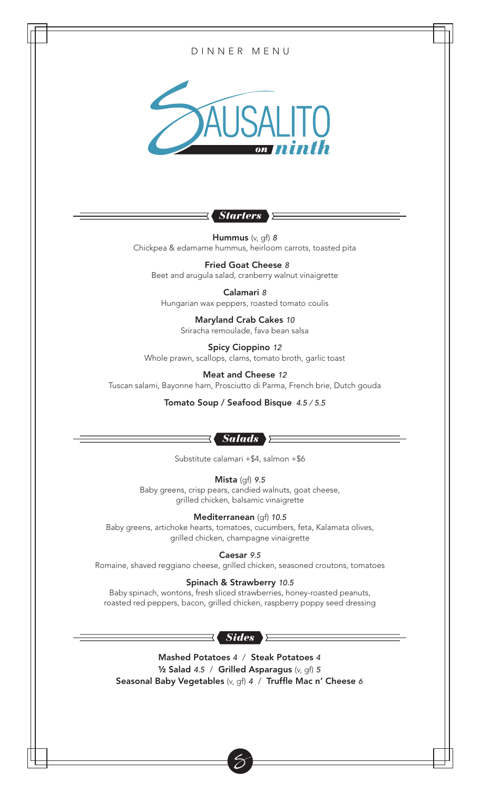

roasted red peppers, bacon, grilled chicken, raspberry poppy seed dressing

### *Sides*

Mashed Potatoes *4* / Steak Potatoes *4* ½ Salad *4.5* / Grilled Asparagus (v, gf) *5* Seasonal Baby Vegetables (v, gf) *4* / Truffle Mac n' Cheese *6*